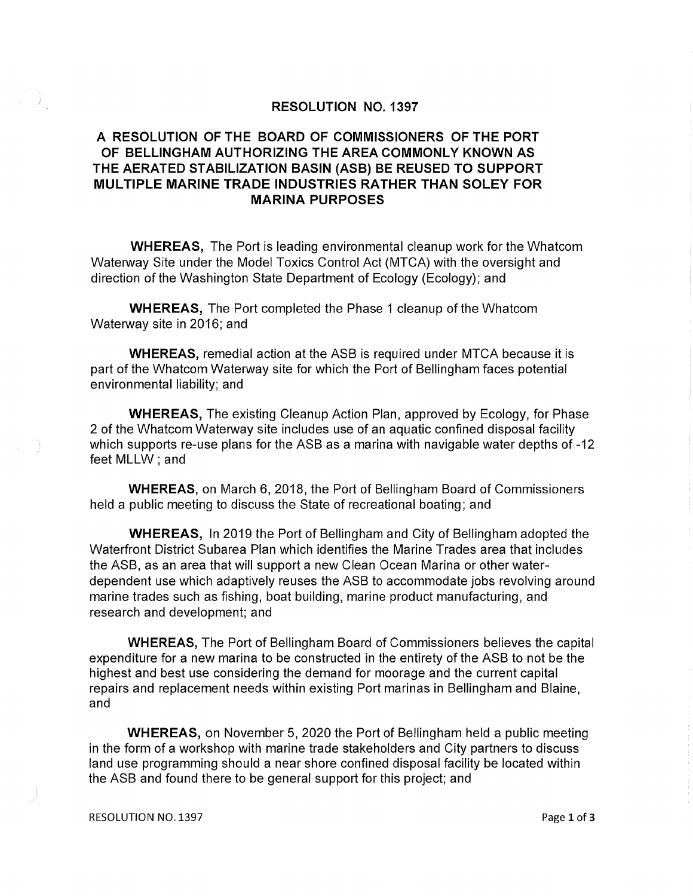## RESOLUTION NO. 1397

## A RESOLUTION OF THE BOARD OF COMMISSIONERS OF THE PORT OF BELLINGHAM AUTHORIZING THE AREA COMMONLY KNOWN AS THE AERATED STABILIZATION BASIN (ASB) BE REUSED TO SUPPORT MULTIPLE MARINE TRADE INDUSTRIES RATHER THAN SOLEY FOR MARINA PURPOSES

WHEREAS, The Port is leading environmental cleanup work for the Whatcom Waterway Site under the Model Toxics Control Act (MTCA) with the oversight and direction of the Washington State Department of Ecology (Ecology); and

**WHEREAS,** The Port completed the Phase 1 cleanup of the Whatcom Waterway site in 2016; and

WHEREAS, remedial action at the ASB is required under MTCA because it is part of the Whatcom Waterway site for which the Port of Bellingham faces potential environmental liability; and

WHEREAS, The existing Cleanup Action Plan, approved by Ecology, for Phase 2 of the Whatcom Waterway site includes use of an aquatic confined disposal facility which supports re-use plans for the ASB as a marina with navigable water depths of -12 feet MLLW; and

WHEREAS, on March 6, 2018, the Port of Bellingham Board of Commissioners held a public meeting to discuss the State of recreational boating; and

WHEREAS, In 2019 the Port of Bellingham and City of Bellingham adopted the Waterfront District Subarea Plan which identifies the Marine Trades area that includes the ASB, as an area that will support a new Clean Ocean Marina or other waterdependent use which adaptively reuses the ASB to accommodate jobs revolving around marine trades such as fishing, boat building, marine product manufacturing, and research and development; and

**WHEREAS,** The Port of Bellingham Board of Commissioners believes the capital expenditure for a new marina to be constructed in the entirety of the ASB to not be the highest and best use considering the demand for moorage and the current capital repairs and replacement needs within existing Port marinas in Bellingham and Blaine, and

WHEREAS, on November 5, 2020 the Port of Bellingham held a public meeting in the form of a workshop with marine trade stakeholders and City partners to discuss land use programming should a near shore confined disposal facility be located within the ASB and found there to be general support for this project; and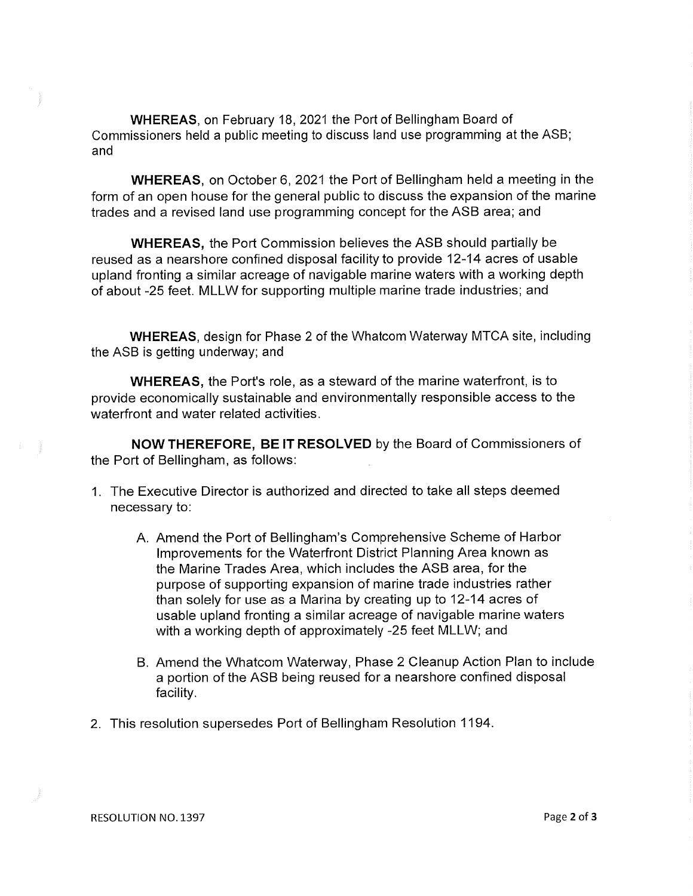WHEREAS, on February 18, 2021 the Port of Bellingham Board of Commissioners held a public meeting to discuss land use programming at the ASB; and

WHEREAS, on October 6, 2021 the Port of Bellingham held a meeting in the form of an open house for the general public to discuss the expansion of the marine trades and a revised land use programming concept for the ASB area; and

WHEREAS, the Port Commission believes the ASB should partially be reused as a nearshore confined disposal facility to provide 12-14 acres of usable upland fronting a similar acreage of navigable marine waters with a working depth of about -25 feet. MLLWfor supporting multiple marine trade industries; and

WHEREAS, design for Phase 2 of the Whatcom Waterway MTCA site, including the ASB is getting underway; and

WHEREAS, the Port's role, as a steward of the marine waterfront, is to provide economically sustainable and environmentally responsible access to the waterfront and water related activities.

NOW THEREFORE, BE IT RESOLVED by the Board of Commissioners of the Port of Bellingham, as follows:

- 1. The Executive Director is authorized and directed to take all steps deemed necessary to:
	- A. Amend the Port of Bellingham's Comprehensive Scheme of Harbor Improvements for the Waterfront District Planning Area known as the Marine Trades Area, which includes the ASB area, for the purpose of supporting expansion of marine trade industries rather than solely for use as a Marina by creating up to 12-14 acres of usable upland fronting a similar acreage of navigable marine waters with a working depth of approximately -25 feet MLLW; and
	- B. Amend the Whatcom Waterway, Phase 2 Cleanup Action Plan to include a portion of the ASB being reused for a nearshore confined disposal facility.
- 2. This resolution supersedes Port of Bellingham Resolution 1194.